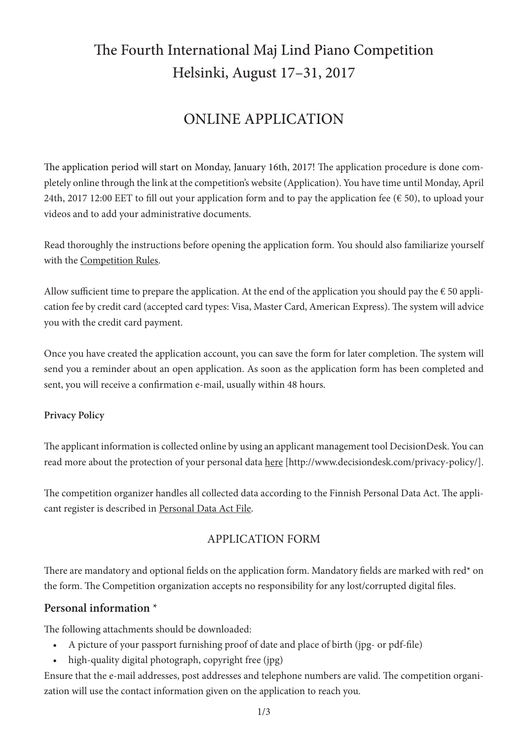# The Fourth International Maj Lind Piano Competition Helsinki, August 17–31, 2017

# ONLINE APPLICATION

The application period will start on Monday, January 16th, 2017! The application procedure is done completely online through the link at the competition's website (Application). You have time until Monday, April 24th, 2017 12:00 EET to fill out your application form and to pay the application fee ( $\epsilon$  50), to upload your videos and to add your administrative documents.

Read thoroughly the instructions before opening the application form. You should also familiarize yourself with the Competition Rules.

Allow sufficient time to prepare the application. At the end of the application you should pay the  $\epsilon$  50 application fee by credit card (accepted card types: Visa, Master Card, American Express). The system will advice you with the credit card payment.

Once you have created the application account, you can save the form for later completion. The system will send you a reminder about an open application. As soon as the application form has been completed and sent, you will receive a confirmation e-mail, usually within 48 hours.

#### **Privacy Policy**

The applicant information is collected online by using an applicant management tool DecisionDesk. You can read more about the protection of your personal data here [http://www.decisiondesk.com/privacy-policy/].

The competition organizer handles all collected data according to the Finnish Personal Data Act. The applicant register is described in Personal Data Act File.

# APPLICATION FORM

There are mandatory and optional fields on the application form. Mandatory fields are marked with red<sup>\*</sup> on the form. The Competition organization accepts no responsibility for any lost/corrupted digital files.

# **Personal information** \*

The following attachments should be downloaded:

- A picture of your passport furnishing proof of date and place of birth (jpg- or pdf-file)
- high-quality digital photograph, copyright free (jpg)

Ensure that the e-mail addresses, post addresses and telephone numbers are valid. The competition organization will use the contact information given on the application to reach you.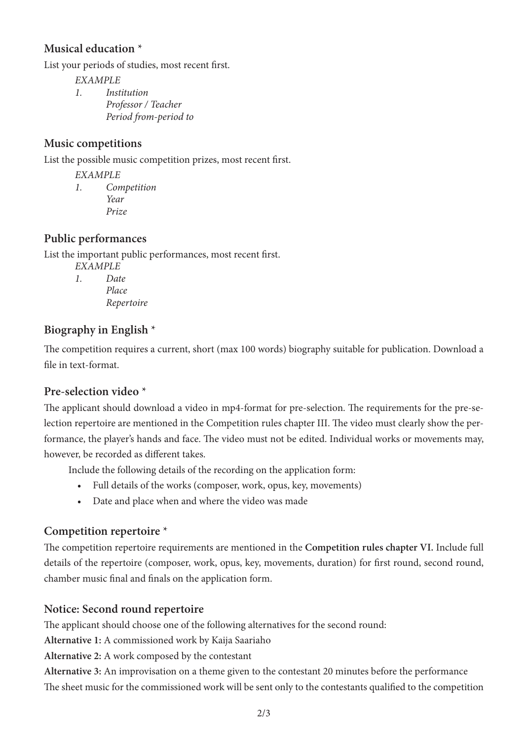#### **Musical education** \*

List your periods of studies, most recent first.

*EXAMPLE 1. Institution Professor / Teacher*

 *Period from-period to*

#### **Music competitions**

List the possible music competition prizes, most recent first.

*EXAMPLE*

*1. Competition Year Prize*

#### **Public performances**

List the important public performances, most recent first.

*EXAMPLE*

*1. Date Place Repertoire*

# **Biography in English** \*

The competition requires a current, short (max 100 words) biography suitable for publication. Download a file in text-format.

# **Pre-selection video** \*

The applicant should download a video in mp4-format for pre-selection. The requirements for the pre-selection repertoire are mentioned in the Competition rules chapter III. The video must clearly show the performance, the player's hands and face. The video must not be edited. Individual works or movements may, however, be recorded as different takes.

Include the following details of the recording on the application form:

- • Full details of the works (composer, work, opus, key, movements)
- • Date and place when and where the video was made

# **Competition repertoire** \*

The competition repertoire requirements are mentioned in the **Competition rules chapter VI.** Include full details of the repertoire (composer, work, opus, key, movements, duration) for first round, second round, chamber music final and finals on the application form.

# **Notice: Second round repertoire**

The applicant should choose one of the following alternatives for the second round:

**Alternative 1:** A commissioned work by Kaija Saariaho

**Alternative 2:** A work composed by the contestant

**Alternative 3:** An improvisation on a theme given to the contestant 20 minutes before the performance The sheet music for the commissioned work will be sent only to the contestants qualified to the competition